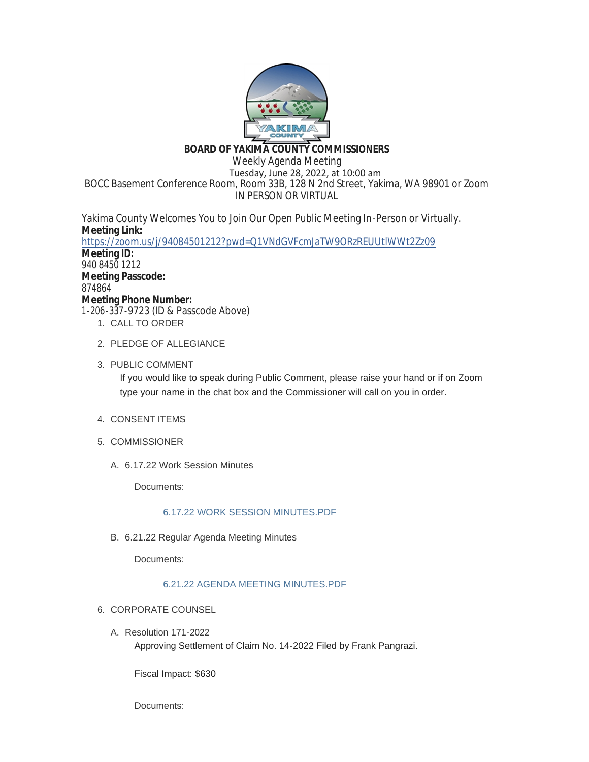

# **BOARD OF YAKIMA COUNTY COMMISSIONERS**

Weekly Agenda Meeting Tuesday, June 28, 2022, at 10:00 am BOCC Basement Conference Room, Room 33B, 128 N 2nd Street, Yakima, WA 98901 or Zoom IN PERSON OR VIRTUAL

Yakima County Welcomes You to Join Our Open Public Meeting In-Person or Virtually. **Meeting Link:** <https://zoom.us/j/94084501212?pwd=Q1VNdGVFcmJaTW9ORzREUUtlWWt2Zz09> **Meeting ID:**

940 8450 1212 **Meeting Passcode:** 874864 **Meeting Phone Number:** 1-206-337-9723 (ID & Passcode Above)

- 1. CALL TO ORDER
- 2. PLEDGE OF ALLEGIANCE
- 3. PUBLIC COMMENT

If you would like to speak during Public Comment, please raise your hand or if on Zoom type your name in the chat box and the Commissioner will call on you in order.

- 4. CONSENT ITEMS
- 5. COMMISSIONER
	- 6.17.22 Work Session Minutes A.

Documents:

## [6.17.22 WORK SESSION MINUTES.PDF](https://www.yakimacounty.us/AgendaCenter/ViewFile/Item/4698?fileID=16312)

6.21.22 Regular Agenda Meeting Minutes B.

Documents:

## [6.21.22 AGENDA MEETING MINUTES.PDF](https://www.yakimacounty.us/AgendaCenter/ViewFile/Item/4699?fileID=16313)

- 6. CORPORATE COUNSEL
	- Resolution 171-2022 A. Approving Settlement of Claim No. 14-2022 Filed by Frank Pangrazi.

Fiscal Impact: \$630

Documents: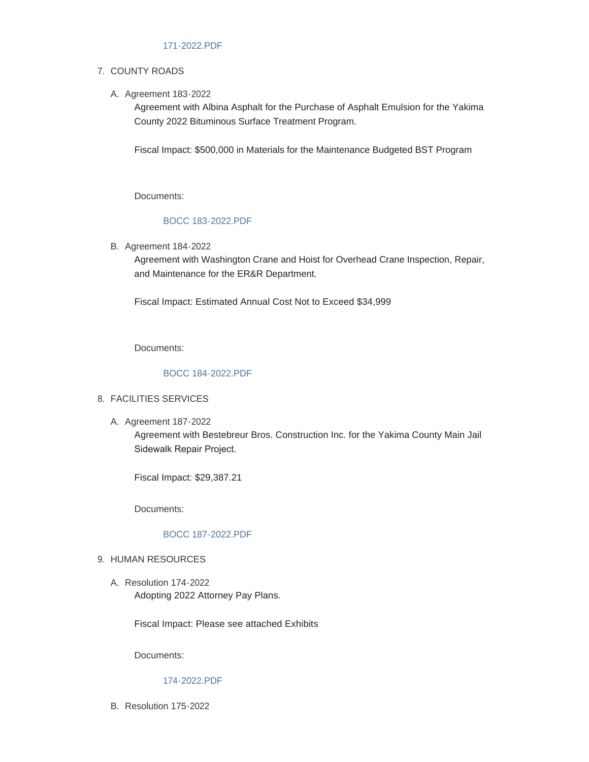## 7. COUNTY ROADS

A. Agreement 183-2022

Agreement with Albina Asphalt for the Purchase of Asphalt Emulsion for the Yakima County 2022 Bituminous Surface Treatment Program.

Fiscal Impact: \$500,000 in Materials for the Maintenance Budgeted BST Program

Documents:

## [BOCC 183-2022.PDF](https://www.yakimacounty.us/AgendaCenter/ViewFile/Item/4717?fileID=16316)

B. Agreement 184-2022

Agreement with Washington Crane and Hoist for Overhead Crane Inspection, Repair, and Maintenance for the ER&R Department.

Fiscal Impact: Estimated Annual Cost Not to Exceed \$34,999

Documents:

## [BOCC 184-2022.PDF](https://www.yakimacounty.us/AgendaCenter/ViewFile/Item/4718?fileID=16317)

### FACILITIES SERVICES 8.

A. Agreement 187-2022

Agreement with Bestebreur Bros. Construction Inc. for the Yakima County Main Jail Sidewalk Repair Project.

Fiscal Impact: \$29,387.21

Documents:

### [BOCC 187-2022.PDF](https://www.yakimacounty.us/AgendaCenter/ViewFile/Item/4723?fileID=16320)

### 9. HUMAN RESOURCES

Resolution 174-2022 A. Adopting 2022 Attorney Pay Plans.

Fiscal Impact: Please see attached Exhibits

Documents:

### [174-2022.PDF](https://www.yakimacounty.us/AgendaCenter/ViewFile/Item/4734?fileID=16323)

B. Resolution 175-2022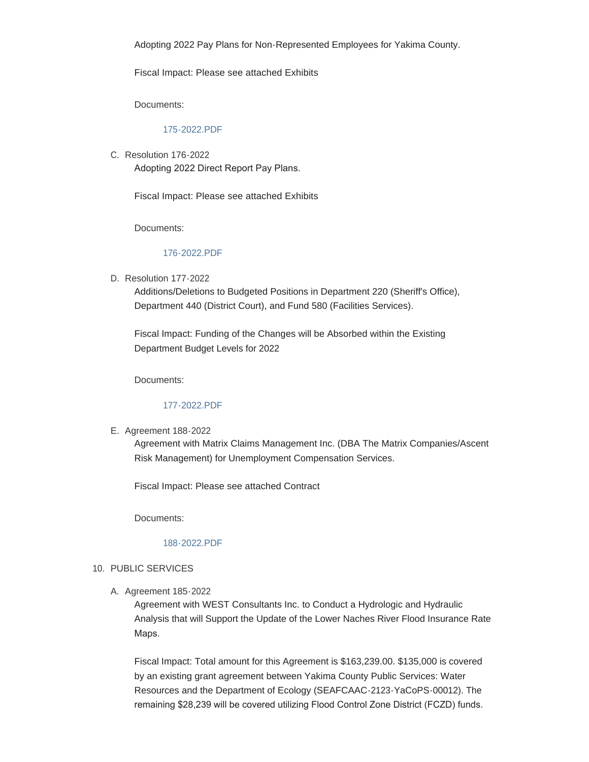Adopting 2022 Pay Plans for Non-Represented Employees for Yakima County.

Fiscal Impact: Please see attached Exhibits

Documents:

### [175-2022.PDF](https://www.yakimacounty.us/AgendaCenter/ViewFile/Item/4735?fileID=16324)

C. Resolution 176-2022 Adopting 2022 Direct Report Pay Plans.

Fiscal Impact: Please see attached Exhibits

Documents:

#### [176-2022.PDF](https://www.yakimacounty.us/AgendaCenter/ViewFile/Item/4736?fileID=16325)

D. Resolution 177-2022

Additions/Deletions to Budgeted Positions in Department 220 (Sheriff's Office), Department 440 (District Court), and Fund 580 (Facilities Services).

Fiscal Impact: Funding of the Changes will be Absorbed within the Existing Department Budget Levels for 2022

Documents:

#### [177-2022.PDF](https://www.yakimacounty.us/AgendaCenter/ViewFile/Item/4737?fileID=16326)

E. Agreement 188-2022

Agreement with Matrix Claims Management Inc. (DBA The Matrix Companies/Ascent Risk Management) for Unemployment Compensation Services.

Fiscal Impact: Please see attached Contract

Documents:

#### [188-2022.PDF](https://www.yakimacounty.us/AgendaCenter/ViewFile/Item/4738?fileID=16327)

### 10. PUBLIC SERVICES

A. Agreement 185-2022

Agreement with WEST Consultants Inc. to Conduct a Hydrologic and Hydraulic Analysis that will Support the Update of the Lower Naches River Flood Insurance Rate Maps.

Fiscal Impact: Total amount for this Agreement is \$163,239.00. \$135,000 is covered by an existing grant agreement between Yakima County Public Services: Water Resources and the Department of Ecology (SEAFCAAC-2123-YaCoPS-00012). The remaining \$28,239 will be covered utilizing Flood Control Zone District (FCZD) funds.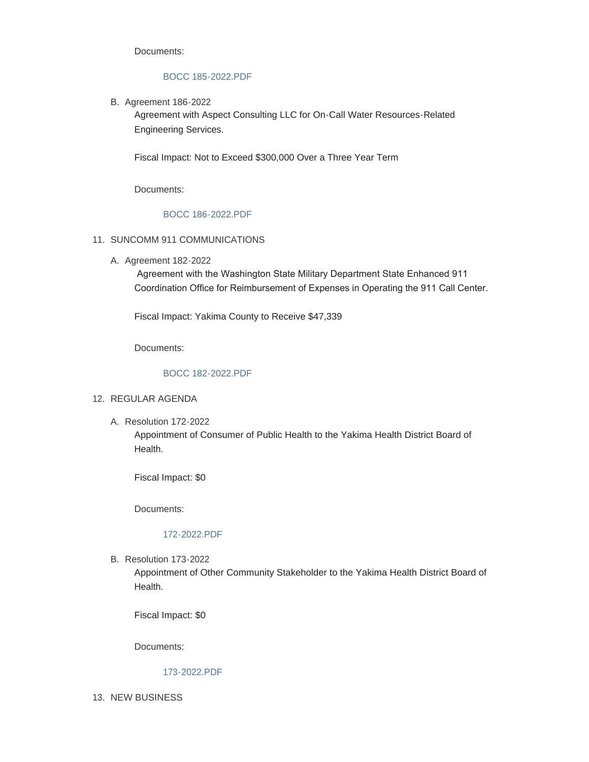Documents:

### [BOCC 185-2022.PDF](https://www.yakimacounty.us/AgendaCenter/ViewFile/Item/4720?fileID=16319)

B. Agreement 186-2022

Agreement with Aspect Consulting LLC for On-Call Water Resources-Related Engineering Services.

Fiscal Impact: Not to Exceed \$300,000 Over a Three Year Term

Documents:

## [BOCC 186-2022.PDF](https://www.yakimacounty.us/AgendaCenter/ViewFile/Item/4719?fileID=16318)

## 11. SUNCOMM 911 COMMUNICATIONS

A. Agreement 182-2022

 Agreement with the Washington State Military Department State Enhanced 911 Coordination Office for Reimbursement of Expenses in Operating the 911 Call Center.

Fiscal Impact: Yakima County to Receive \$47,339

Documents:

## [BOCC 182-2022.PDF](https://www.yakimacounty.us/AgendaCenter/ViewFile/Item/4708?fileID=16315)

### 12. REGULAR AGENDA

Resolution 172-2022 A.

Appointment of Consumer of Public Health to the Yakima Health District Board of Health.

Fiscal Impact: \$0

Documents:

### [172-2022.PDF](https://www.yakimacounty.us/AgendaCenter/ViewFile/Item/4724?fileID=16321)

B. Resolution 173-2022

Appointment of Other Community Stakeholder to the Yakima Health District Board of Health.

Fiscal Impact: \$0

Documents:

## [173-2022.PDF](https://www.yakimacounty.us/AgendaCenter/ViewFile/Item/4725?fileID=16322)

13. NEW BUSINESS